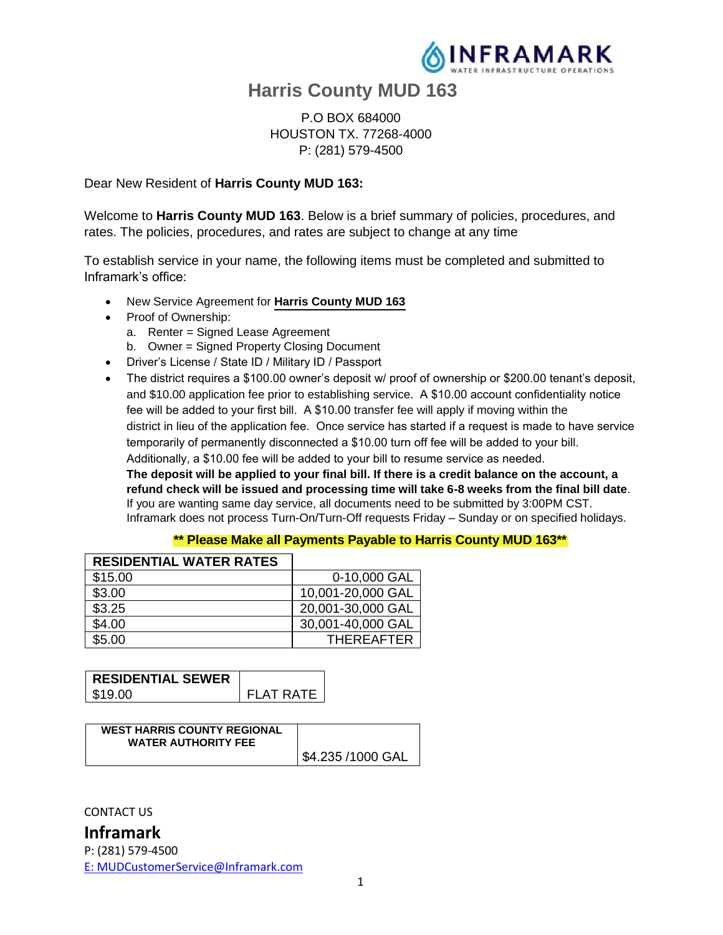

# **Harris County MUD 163**

P.O BOX 684000 HOUSTON TX. 77268-4000 P: (281) 579-4500

Dear New Resident of **Harris County MUD 163:**

Welcome to **Harris County MUD 163**. Below is a brief summary of policies, procedures, and rates. The policies, procedures, and rates are subject to change at any time

To establish service in your name, the following items must be completed and submitted to Inframark's office:

- New Service Agreement for **Harris County MUD 163**
- Proof of Ownership:
	- a. Renter = Signed Lease Agreement
	- b. Owner = Signed Property Closing Document
- Driver's License / State ID / Military ID / Passport
- The district requires a \$100.00 owner's deposit w/ proof of ownership or \$200.00 tenant's deposit, and \$10.00 application fee prior to establishing service. A \$10.00 account confidentiality notice fee will be added to your first bill. A \$10.00 transfer fee will apply if moving within the district in lieu of the application fee. Once service has started if a request is made to have service temporarily of permanently disconnected a \$10.00 turn off fee will be added to your bill. Additionally, a \$10.00 fee will be added to your bill to resume service as needed.

**The deposit will be applied to your final bill. If there is a credit balance on the account, a refund check will be issued and processing time will take 6-8 weeks from the final bill date**. If you are wanting same day service, all documents need to be submitted by 3:00PM CST. Inframark does not process Turn-On/Turn-Off requests Friday – Sunday or on specified holidays.

#### **\*\* Please Make all Payments Payable to Harris County MUD 163\*\***

| <b>RESIDENTIAL WATER RATES</b> |                   |
|--------------------------------|-------------------|
| \$15.00                        | 0-10,000 GAL      |
| \$3.00                         | 10,001-20,000 GAL |
| \$3.25                         | 20,001-30,000 GAL |
| \$4.00                         | 30,001-40,000 GAL |
| \$5.00                         | <b>THEREAFTER</b> |

| <b>RESIDENTIAL SEWER</b> |            |
|--------------------------|------------|
| \$19.00                  | FI AT RATF |

| <b>WEST HARRIS COUNTY REGIONAL</b><br><b>WATER AUTHORITY FEE</b> |                   |
|------------------------------------------------------------------|-------------------|
|                                                                  | \$4.235 /1000 GAL |

CONTACT US

## **Inframark**

P: (281) 579-4500 E: MUDCustomerService@Inframark.com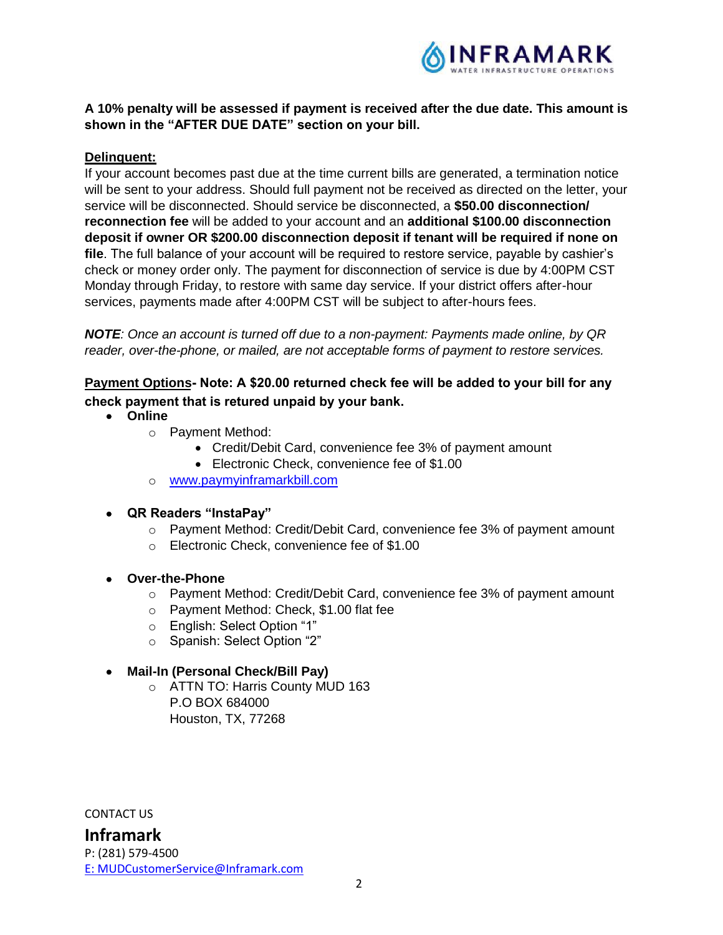

## **A 10% penalty will be assessed if payment is received after the due date. This amount is shown in the "AFTER DUE DATE" section on your bill.**

### **Delinquent:**

If your account becomes past due at the time current bills are generated, a termination notice will be sent to your address. Should full payment not be received as directed on the letter, your service will be disconnected. Should service be disconnected, a **\$50.00 disconnection/ reconnection fee** will be added to your account and an **additional \$100.00 disconnection deposit if owner OR \$200.00 disconnection deposit if tenant will be required if none on file**. The full balance of your account will be required to restore service, payable by cashier's check or money order only. The payment for disconnection of service is due by 4:00PM CST Monday through Friday, to restore with same day service. If your district offers after-hour services, payments made after 4:00PM CST will be subject to after-hours fees.

*NOTE: Once an account is turned off due to a non-payment: Payments made online, by QR reader, over-the-phone, or mailed, are not acceptable forms of payment to restore services.*

## **Payment Options Note: A \$20.00 returned check fee will be added to your bill for any check payment that is retured unpaid by your bank.**

- **Online**
	- o Payment Method:
		- Credit/Debit Card, convenience fee 3% of payment amount
		- Electronic Check, convenience fee of \$1.00
	- o www.paymyinframarkbill.com
- **QR Readers "InstaPay"**
	- o Payment Method: Credit/Debit Card, convenience fee 3% of payment amount
	- o Electronic Check, convenience fee of \$1.00
- **Over-the-Phone**
	- $\circ$  Payment Method: Credit/Debit Card, convenience fee 3% of payment amount
	- o Payment Method: Check, \$1.00 flat fee
	- o English: Select Option "1"
	- o Spanish: Select Option "2"
- **Mail-In (Personal Check/Bill Pay)**
	- o ATTN TO: Harris County MUD 163 P.O BOX 684000 Houston, TX, 77268

CONTACT US

**Inframark** P: (281) 579-4500 E: MUDCustomerService@Inframark.com